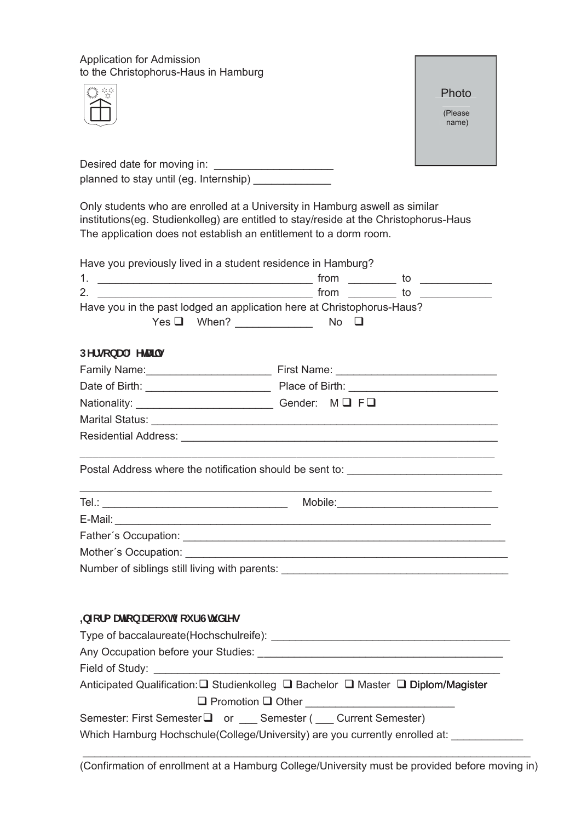Application for Admission to the Christophorus-Haus in Hamburg





| Desired date for moving in:            |  |
|----------------------------------------|--|
| planned to stay until (eg. Internship) |  |

Only students who are enrolled at a University in Hamburg aswell as similar institutions(eg. Studienkolleg) are entitled to stay/reside at the Christophorus-Haus The application does not establish an entitlement to a dorm room.

|                                            | Have you previously lived in a student residence in Hamburg?                     |  |
|--------------------------------------------|----------------------------------------------------------------------------------|--|
|                                            |                                                                                  |  |
| $\overline{\mathbf{2}}$ .                  | $from \_\_\_\_$ to $\_\_\_\_\_\_\_$                                              |  |
|                                            | Have you in the past lodged an application here at Christophorus-Haus?           |  |
|                                            |                                                                                  |  |
| DYfgcbU'8 YHJjg                            |                                                                                  |  |
|                                            |                                                                                  |  |
|                                            |                                                                                  |  |
|                                            |                                                                                  |  |
|                                            |                                                                                  |  |
|                                            |                                                                                  |  |
|                                            | Postal Address where the notification should be sent to: _______________________ |  |
|                                            |                                                                                  |  |
|                                            |                                                                                  |  |
|                                            |                                                                                  |  |
|                                            |                                                                                  |  |
|                                            | Number of siblings still living with parents: __________________________________ |  |
|                                            |                                                                                  |  |
| <b>±b</b> Zefa Un]cb UVci himci f Ghi X]Yg |                                                                                  |  |
|                                            |                                                                                  |  |
|                                            |                                                                                  |  |
|                                            |                                                                                  |  |
|                                            | Anticipated Qualification: U Studienkolleg □ Bachelor □ Master □ Diplom/Magister |  |
|                                            | $\Box$ Promotion $\Box$ Other                                                    |  |
|                                            | Semester: First Semester □ or Semester (Current Semester)                        |  |
|                                            | Which Hamburg Hochschule(College/University) are you currently enrolled at:      |  |